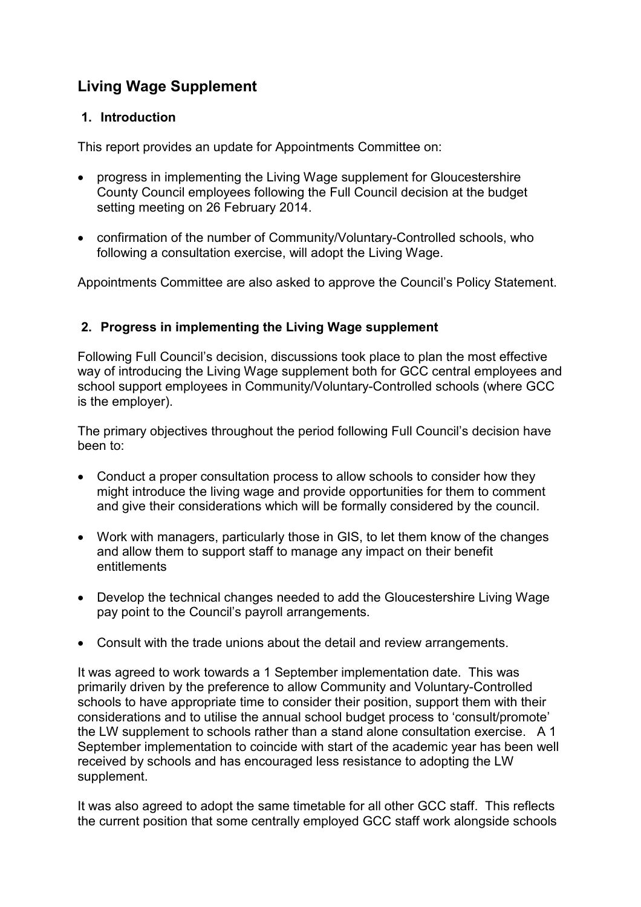# Living Wage Supplement

### 1. Introduction

This report provides an update for Appointments Committee on:

- progress in implementing the Living Wage supplement for Gloucestershire County Council employees following the Full Council decision at the budget setting meeting on 26 February 2014.
- confirmation of the number of Community/Voluntary-Controlled schools, who following a consultation exercise, will adopt the Living Wage.

Appointments Committee are also asked to approve the Council's Policy Statement.

# 2. Progress in implementing the Living Wage supplement

Following Full Council's decision, discussions took place to plan the most effective way of introducing the Living Wage supplement both for GCC central employees and school support employees in Community/Voluntary-Controlled schools (where GCC is the employer).

The primary objectives throughout the period following Full Council's decision have been to:

- Conduct a proper consultation process to allow schools to consider how they might introduce the living wage and provide opportunities for them to comment and give their considerations which will be formally considered by the council.
- Work with managers, particularly those in GIS, to let them know of the changes and allow them to support staff to manage any impact on their benefit entitlements
- Develop the technical changes needed to add the Gloucestershire Living Wage pay point to the Council's payroll arrangements.
- Consult with the trade unions about the detail and review arrangements.

It was agreed to work towards a 1 September implementation date. This was primarily driven by the preference to allow Community and Voluntary-Controlled schools to have appropriate time to consider their position, support them with their considerations and to utilise the annual school budget process to 'consult/promote' the LW supplement to schools rather than a stand alone consultation exercise. A 1 September implementation to coincide with start of the academic year has been well received by schools and has encouraged less resistance to adopting the LW supplement.

It was also agreed to adopt the same timetable for all other GCC staff. This reflects the current position that some centrally employed GCC staff work alongside schools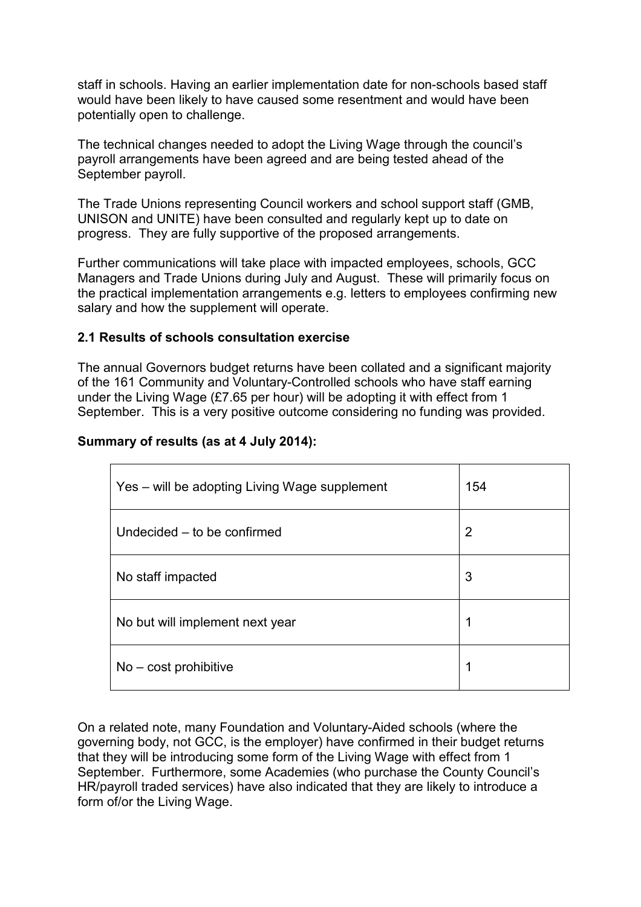staff in schools. Having an earlier implementation date for non-schools based staff would have been likely to have caused some resentment and would have been potentially open to challenge.

The technical changes needed to adopt the Living Wage through the council's payroll arrangements have been agreed and are being tested ahead of the September payroll.

The Trade Unions representing Council workers and school support staff (GMB, UNISON and UNITE) have been consulted and regularly kept up to date on progress. They are fully supportive of the proposed arrangements.

Further communications will take place with impacted employees, schools, GCC Managers and Trade Unions during July and August. These will primarily focus on the practical implementation arrangements e.g. letters to employees confirming new salary and how the supplement will operate.

#### 2.1 Results of schools consultation exercise

The annual Governors budget returns have been collated and a significant majority of the 161 Community and Voluntary-Controlled schools who have staff earning under the Living Wage (£7.65 per hour) will be adopting it with effect from 1 September. This is a very positive outcome considering no funding was provided.

#### Summary of results (as at 4 July 2014):

| Yes – will be adopting Living Wage supplement | 154            |
|-----------------------------------------------|----------------|
| Undecided – to be confirmed                   | $\overline{2}$ |
| No staff impacted                             | 3              |
| No but will implement next year               | 1              |
| $No - cost$ prohibitive                       | 1              |

On a related note, many Foundation and Voluntary-Aided schools (where the governing body, not GCC, is the employer) have confirmed in their budget returns that they will be introducing some form of the Living Wage with effect from 1 September. Furthermore, some Academies (who purchase the County Council's HR/payroll traded services) have also indicated that they are likely to introduce a form of/or the Living Wage.